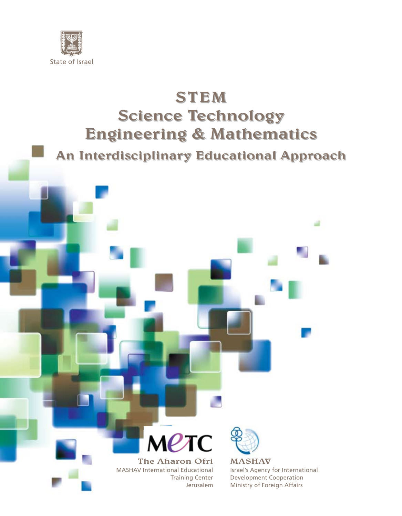

# STEM Science Technology Engineering & Mathematics

An Interdisciplinary Educational Approach



The Aharon Ofri MASHAV International Educational Training Center Jerusalem



MASHAV Israel's Agency for International Development Cooperation Ministry of Foreign Affairs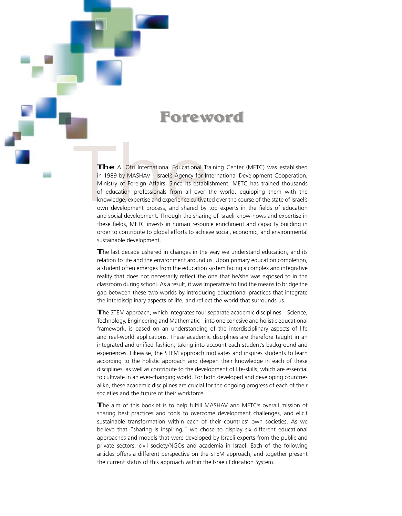# **Foreword**

The A. Ofri International Educational Training Center (METC) was established<br>in 1989 by MASHAV - Israel's Agency for International Development Cooperation,<br>Ministry of Foreign Affairs. Since its establishment, METC has tra in 1989 by MASHAV - Israel's Agency for International Development Cooperation, Ministry of Foreign Affairs. Since its establishment, METC has trained thousands of education professionals from all over the world, equipping them with the knowledge, expertise and experience cultivated over the course of the state of Israel's own development process, and shared by top experts in the fields of education and social development. Through the sharing of Israeli know-hows and expertise in these fields, METC invests in human resource enrichment and capacity building in order to contribute to global efforts to achieve social, economic, and environmental sustainable development.

The last decade ushered in changes in the way we understand education, and its relation to life and the environment around us. Upon primary education completion, a student often emerges from the education system facing a complex and integrative reality that does not necessarily reflect the one that he/she was exposed to in the classroom during school. As a result, it was imperative to find the means to bridge the gap between these two worlds by introducing educational practices that integrate the interdisciplinary aspects of life, and reflect the world that surrounds us.

**T**he STEM approach, which integrates four separate academic disciplines – Science, Technology, Engineering and Mathematic – into one cohesive and holistic educational framework, is based on an understanding of the interdisciplinary aspects of life and real-world applications. These academic disciplines are therefore taught in an integrated and unified fashion, taking into account each student's background and experiences. Likewise, the STEM approach motivates and inspires students to learn according to the holistic approach and deepen their knowledge in each of these disciplines, as well as contribute to the development of life-skills, which are essential to cultivate in an ever-changing world. For both developed and developing countries alike, these academic disciplines are crucial for the ongoing progress of each of their societies and the future of their workforce

**T**he aim of this booklet is to help fulfill MASHAV and METC's overall mission of sharing best practices and tools to overcome development challenges, and elicit sustainable transformation within each of their countries' own societies. As we believe that "sharing is inspiring," we chose to display six different educational approaches and models that were developed by Israeli experts from the public and private sectors, civil society/NGOs and academia in Israel. Each of the following articles offers a different perspective on the STEM approach, and together present the current status of this approach within the Israeli Education System.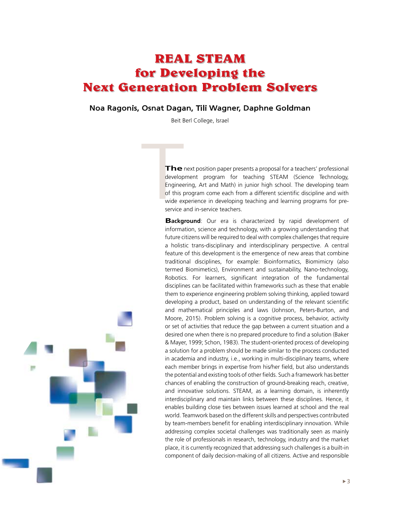# **REAL STEAM for Developing the Next Generation Problem Solvers**

### Noa Ragonis, Osnat Dagan, Tili Wagner, Daphne Goldman

Beit Berl College, Israel

The<br>develop<br>Enginee<br>of this p<br>wide ex<br>service **The** next position paper presents a proposal for a teachers' professional development program for teaching STEAM (Science Technology, Engineering, Art and Math) in junior high school. The developing team of this program come each from a different scientific discipline and with wide experience in developing teaching and learning programs for preservice and in-service teachers.

> **Background**: Our era is characterized by rapid development of information, science and technology, with a growing understanding that future citizens will be required to deal with complex challenges that require a holistic trans-disciplinary and interdisciplinary perspective. A central feature of this development is the emergence of new areas that combine traditional disciplines, for example: Bioinformatics, Biomimicry (also termed Biomimetics), Environment and sustainability, Nano-technology, Robotics. For learners, significant integration of the fundamental disciplines can be facilitated within frameworks such as these that enable them to experience engineering problem solving thinking, applied toward developing a product, based on understanding of the relevant scientific and mathematical principles and laws (Johnson, Peters-Burton, and Moore, 2015). Problem solving is a cognitive process, behavior, activity or set of activities that reduce the gap between a current situation and a desired one when there is no prepared procedure to find a solution (Baker & Mayer, 1999; Schon, 1983). The student-oriented process of developing a solution for a problem should be made similar to the process conducted in academia and industry, i.e., working in multi-disciplinary teams, where each member brings in expertise from his/her field, but also understands the potential and existing tools of other fields. Such a framework has better chances of enabling the construction of ground-breaking reach, creative, and innovative solutions. STEAM, as a learning domain, is inherently interdisciplinary and maintain links between these disciplines. Hence, it enables building close ties between issues learned at school and the real world. Teamwork based on the different skills and perspectives contributed by team-members benefit for enabling interdisciplinary innovation. While addressing complex societal challenges was traditionally seen as mainly the role of professionals in research, technology, industry and the market place, it is currently recognized that addressing such challenges is a built-in component of daily decision-making of all citizens. Active and responsible

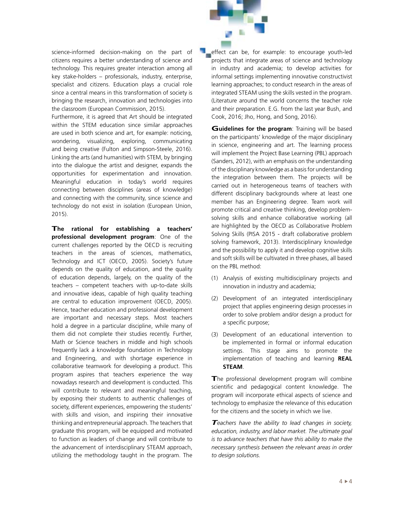science-informed decision-making on the part of citizens requires a better understanding of science and technology. This requires greater interaction among all key stake-holders – professionals, industry, enterprise, specialist and citizens. Education plays a crucial role since a central means in this transformation of society is bringing the research, innovation and technologies into the classroom (European Commission, 2015).

Furthermore, it is agreed that Art should be integrated within the STEM education since similar approaches are used in both science and art, for example: noticing, wondering, visualizing, exploring, communicating and being creative (Fulton and Simpson-Steele, 2016). Linking the arts (and humanities) with STEM, by bringing into the dialogue the artist and designer, expands the opportunities for experimentation and innovation. Meaningful education in today's world requires connecting between disciplines (areas of knowledge) and connecting with the community, since science and technology do not exist in isolation (European Union, 2015).

**The rational for establishing a teachers' professional development program**: One of the current challenges reported by the OECD is recruiting teachers in the areas of sciences, mathematics, Technology and ICT (OECD, 2005). Society's future depends on the quality of education, and the quality of education depends, largely, on the quality of the teachers – competent teachers with up-to-date skills and innovative ideas, capable of high quality teaching are central to education improvement (OECD, 2005). Hence, teacher education and professional development are important and necessary steps. Most teachers hold a degree in a particular discipline, while many of them did not complete their studies recently. Further, Math or Science teachers in middle and high schools frequently lack a knowledge foundation in Technology and Engineering, and with shortage experience in collaborative teamwork for developing a product. This program aspires that teachers experience the way nowadays research and development is conducted. This will contribute to relevant and meaningful teaching, by exposing their students to authentic challenges of society, different experiences, empowering the students' with skills and vision, and inspiring their innovative thinking and entrepreneurial approach. The teachers that graduate this program, will be equipped and motivated to function as leaders of change and will contribute to the advancement of interdisciplinary STEAM approach, utilizing the methodology taught in the program. The

effect can be, for example: to encourage youth-led projects that integrate areas of science and technology in industry and academia; to develop activities for informal settings implementing innovative constructivist learning approaches; to conduct research in the areas of integrated STEAM using the skills vested in the program. (Literature around the world concerns the teacher role and their preparation. E.G. from the last year Bush, and Cook, 2016; Jho, Hong, and Song, 2016).

**Guidelines for the program:** Training will be based on the participants' knowledge of the major disciplinary in science, engineering and art. The learning process will implement the Project Base Learning (PBL) approach (Sanders, 2012), with an emphasis on the understanding of the disciplinary knowledge as a basis for understanding the integration between them. The projects will be carried out in heterogeneous teams of teachers with different disciplinary backgrounds where at least one member has an Engineering degree. Team work will promote critical and creative thinking, develop problemsolving skills and enhance collaborative working (all are highlighted by the OECD as Collaborative Problem Solving Skills (PISA 2015 - draft collaborative problem solving framework, 2013). Interdisciplinary knowledge and the possibility to apply it and develop cognitive skills and soft skills will be cultivated in three phases, all based on the PBL method:

- (1) Analysis of existing multidisciplinary projects and innovation in industry and academia;
- (2) Development of an integrated interdisciplinary project that applies engineering design processes in order to solve problem and/or design a product for a specific purpose;
- (3) Development of an educational intervention to be implemented in formal or informal education settings. This stage aims to promote the implementation of teaching and learning **REAL STEAM**.

The professional development program will combine scientific and pedagogical content knowledge. The program will incorporate ethical aspects of science and technology to emphasize the relevance of this education for the citizens and the society in which we live.

*Teachers have the ability to lead changes in society, education, industry, and labor market. The ultimate goal is to advance teachers that have this ability to make the necessary synthesis between the relevant areas in order to design solutions.*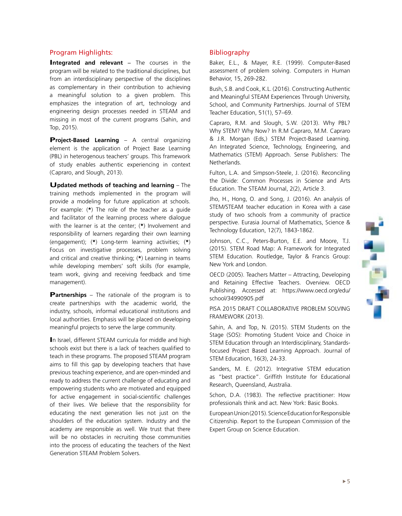# ļ

### Program Highlights:

Integrated and relevant – The courses in the program will be related to the traditional disciplines, but from an interdisciplinary perspective of the disciplines as complementary in their contribution to achieving a meaningful solution to a given problem. This emphasizes the integration of art, technology and engineering design processes needed in STEAM and missing in most of the current programs (Sahin, and Top, 2015).

**Project-Based Learning** – A central organizing element is the application of Project Base Learning (PBL) in heterogenous teachers' groups. This framework of study enables authentic experiencing in context (Capraro, and Slough, 2013).

**Updated methods of teaching and learning** – The training methods implemented in the program will provide a modeling for future application at schools. For example: (**\***) The role of the teacher as a guide and facilitator of the learning process where dialogue with the learner is at the center; (**\***) Involvement and responsibility of learners regarding their own learning (engagement); (**\***) Long-term learning activities; (**\***) Focus on investigative processes, problem solving and critical and creative thinking; (**\***) Learning in teams while developing members' soft skills (for example, team work, giving and receiving feedback and time management).

**Partnerships** – The rationale of the program is to create partnerships with the academic world, the industry, schools, informal educational institutions and local authorities. Emphasis will be placed on developing meaningful projects to serve the large community.

**I**n Israel, different STEAM curricula for middle and high schools exist but there is a lack of teachers qualified to teach in these programs. The proposed STEAM program aims to fill this gap by developing teachers that have previous teaching experience, and are open-minded and ready to address the current challenge of educating and empowering students who are motivated and equipped for active engagement in social-scientific challenges of their lives. We believe that the responsibility for educating the next generation lies not just on the shoulders of the education system. Industry and the academy are responsible as well. We trust that there will be no obstacles in recruiting those communities into the process of educating the teachers of the Next Generation STEAM Problem Solvers.

### Bibliography

Baker, E.L., & Mayer, R.E. (1999). Computer-Based assessment of problem solving. Computers in Human Behavior, 15, 269-282.

Bush, S.B. and Cook, K.L. (2016). Constructing Authentic and Meaningful STEAM Experiences Through University, School, and Community Partnerships. Journal of STEM Teacher Education, 51(1), 57–69.

Capraro, R.M. and Slough, S.W. (2013). Why PBL? Why STEM? Why Now? In R.M Capraro, M.M. Capraro & J.R. Morgan (Eds,) STEM Project-Based Learning. An Integrated Science, Technology, Engineering, and Mathematics (STEM) Approach. Sense Publishers: The Netherlands.

Fulton, L.A. and Simpson-Steele, J. (2016). Reconciling the Divide: Common Processes in Science and Arts Education. The STEAM Journal, 2(2), Article 3.

Jho, H., Hong, O. and Song, J. (2016). An analysis of STEM/STEAM teacher education in Korea with a case study of two schools from a community of practice perspective. Eurasia Journal of Mathematics, Science & Technology Education, 12(7), 1843-1862.

Johnson, C.C., Peters-Burton, E.E. and Moore, T.J. (2015). STEM Road Map: A Framework for Integrated STEM Education. Routledge, Taylor & Francis Group: New York and London.

OECD (2005). Teachers Matter – Attracting, Developing and Retaining Effective Teachers. Overview. OECD Publishing. Accessed at: https://www.oecd.org/edu/ school/34990905.pdf

PISA 2015 DRAFT COLLABORATIVE PROBLEM SOLVING FRAMEWORK (2013).

Sahin, A. and Top, N. (2015). STEM Students on the Stage (SOS): Promoting Student Voice and Choice in STEM Education through an Interdisciplinary, Standardsfocused Project Based Learning Approach. Journal of STEM Education, 16(3), 24-33.

Sanders, M. E. (2012). Integrative STEM education as "best practice". Griffith Institute for Educational Research, Queensland, Australia.

Schon, D.A. (1983). The reflective practitioner: How professionals think and act. New York: Basic Books.

European Union (2015). Science Education for Responsible Citizenship. Report to the European Commission of the Expert Group on Science Education.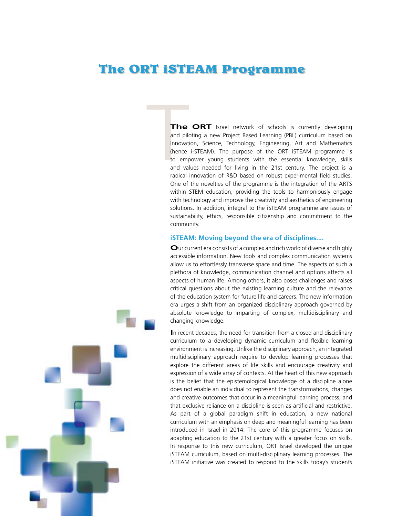# **The ORT iSTEAM Programme**

The<br>
and pilot<br>
Innovati<br>
(hence<br>
to emp<br>
and valued<br>
and radical **The ORT** Israel network of schools is currently developing and piloting a new Project Based Learning (PBL) curriculum based on Innovation, Science, Technology, Engineering, Art and Mathematics (hence i-STEAM). The purpose of the ORT iSTEAM programme is to empower young students with the essential knowledge, skills and values needed for living in the 21st century. The project is a radical innovation of R&D based on robust experimental field studies. One of the novelties of the programme is the integration of the ARTS within STEM education, providing the tools to harmoniously engage with technology and improve the creativity and aesthetics of engineering solutions. In addition, integral to the iSTEAM programme are issues of sustainability, ethics, responsible citizenship and commitment to the community.

### **iSTEAM: Moving beyond the era of disciplines....**

**O**ur current era consists of a complex and rich world of diverse and highly accessible information. New tools and complex communication systems allow us to effortlessly transverse space and time. The aspects of such a plethora of knowledge, communication channel and options affects all aspects of human life. Among others, it also poses challenges and raises critical questions about the existing learning culture and the relevance of the education system for future life and careers. The new information era urges a shift from an organized disciplinary approach governed by absolute knowledge to imparting of complex, multidisciplinary and changing knowledge.

**I**n recent decades, the need for transition from a closed and disciplinary curriculum to a developing dynamic curriculum and flexible learning environment is increasing. Unlike the disciplinary approach, an integrated multidisciplinary approach require to develop learning processes that explore the different areas of life skills and encourage creativity and expression of a wide array of contexts. At the heart of this new approach is the belief that the epistemological knowledge of a discipline alone does not enable an individual to represent the transformations, changes and creative outcomes that occur in a meaningful learning process, and that exclusive reliance on a discipline is seen as artificial and restrictive. As part of a global paradigm shift in education, a new national curriculum with an emphasis on deep and meaningful learning has been introduced in Israel in 2014. The core of this programme focuses on adapting education to the 21st century with a greater focus on skills. In response to this new curriculum, ORT Israel developed the unique iSTEAM curriculum, based on multi-disciplinary learning processes. The iSTEAM initiative was created to respond to the skills today's students

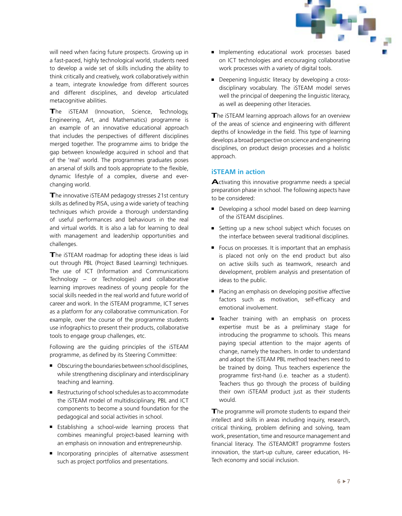will need when facing future prospects. Growing up in a fast-paced, highly technological world, students need to develop a wide set of skills including the ability to think critically and creatively, work collaboratively within a team, integrate knowledge from different sources and different disciplines, and develop articulated metacognitive abilities.

**T**he iSTEAM (Innovation, Science, Technology, Engineering, Art, and Mathematics) programme is an example of an innovative educational approach that includes the perspectives of different disciplines merged together. The programme aims to bridge the gap between knowledge acquired in school and that of the 'real' world. The programmes graduates poses an arsenal of skills and tools appropriate to the flexible, dynamic lifestyle of a complex, diverse and everchanging world.

**T**he innovative iSTEAM pedagogy stresses 21st century skills as defined by PISA, using a wide variety of teaching techniques which provide a thorough understanding of useful performances and behaviours in the real and virtual worlds. It is also a lab for learning to deal with management and leadership opportunities and challenges.

The iSTEAM roadmap for adopting these ideas is laid out through PBL (Project Based Learning) techniques. The use of ICT (Information and Communications Technology – or Technologies) and collaborative learning improves readiness of young people for the social skills needed in the real world and future world of career and work. In the iSTEAM programme, ICT serves as a platform for any collaborative communication. For example, over the course of the programme students use infographics to present their products, collaborative tools to engage group challenges, etc.

Following are the guiding principles of the iSTEAM programme, as defined by its Steering Committee:

- Obscuring the boundaries between school disciplines, while strengthening disciplinary and interdisciplinary teaching and learning.
- Restructuring of school schedules as to accommodate the iSTEAM model of multidisciplinary, PBL and ICT components to become a sound foundation for the pedagogical and social activities in school.
- Establishing a school-wide learning process that combines meaningful project-based learning with an emphasis on innovation and entrepreneurship.
- Incorporating principles of alternative assessment such as project portfolios and presentations.
- Implementing educational work processes based on ICT technologies and encouraging collaborative work processes with a variety of digital tools.
- Deepening linguistic literacy by developing a crossdisciplinary vocabulary. The iSTEAM model serves well the principal of deepening the linguistic literacy, as well as deepening other literacies.

**T**he iSTEAM learning approach allows for an overview of the areas of science and engineering with different depths of knowledge in the field. This type of learning develops a broad perspective on science and engineering disciplines, on product design processes and a holistic approach.

### **iSTEAM in action**

**A**ctivating this innovative programme needs a special preparation phase in school. The following aspects have to be considered:

- Developing a school model based on deep learning of the iSTEAM disciplines.
- Setting up a new school subject which focuses on the interface between several traditional disciplines.
- Focus on processes. It is important that an emphasis is placed not only on the end product but also on active skills such as teamwork, research and development, problem analysis and presentation of ideas to the public.
- Placing an emphasis on developing positive affective factors such as motivation, self-efficacy and emotional involvement.
- Teacher training with an emphasis on process expertise must be as a preliminary stage for introducing the programme to schools. This means paying special attention to the major agents of change, namely the teachers. In order to understand and adopt the iSTEAM PBL method teachers need to be trained by doing. Thus teachers experience the programme first-hand (i.e. teacher as a student). Teachers thus go through the process of building their own iSTEAM product just as their students would.

The programme will promote students to expand their intellect and skills in areas including inquiry, research, critical thinking, problem defining and solving, team work, presentation, time and resource management and financial literacy. The iSTEAMORT programme fosters innovation, the start-up culture, career education, Hi-Tech economy and social inclusion.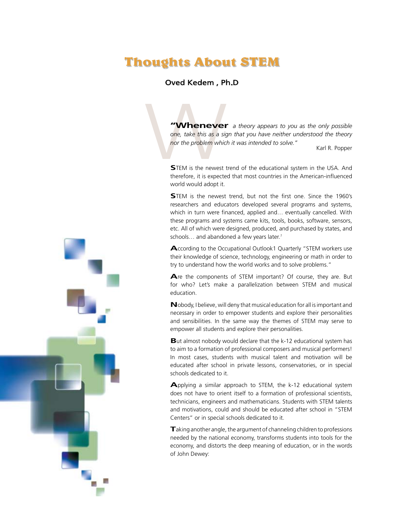# **Thoughts About STEM**

### Oved Kedem , Ph.D

**TWHENEVET** a theory appears to you as the only possible<br>
one, take this as a sign that you have neither understood the theory<br>
nor the problem which it was intended to solve."<br> **STEM** is the newest trend of the educationa *one, take this as a sign that you have neither understood the theory nor the problem which it was intended to solve."* Karl R. Popper

**S**TEM is the newest trend of the educational system in the USA. And therefore, it is expected that most countries in the American-influenced world would adopt it.

**S**TEM is the newest trend, but not the first one. Since the 1960's researchers and educators developed several programs and systems, which in turn were financed, applied and… eventually cancelled. With these programs and systems came kits, tools, books, software, sensors, etc. All of which were designed, produced, and purchased by states, and schools… and abandoned a few years later.*<sup>1</sup>*

**A**ccording to the Occupational Outlook1 Quarterly "STEM workers use their knowledge of science, technology, engineering or math in order to try to understand how the world works and to solve problems."

**A**re the components of STEM important? Of course, they are. But for who? Let's make a parallelization between STEM and musical education.

**N**obody, I believe, will deny that musical education for all is important and necessary in order to empower students and explore their personalities and sensibilities. In the same way the themes of STEM may serve to empower all students and explore their personalities.

**B**ut almost nobody would declare that the k-12 educational system has to aim to a formation of professional composers and musical performers! In most cases, students with musical talent and motivation will be educated after school in private lessons, conservatories, or in special schools dedicated to it.

**A**pplying a similar approach to STEM, the k-12 educational system does not have to orient itself to a formation of professional scientists, technicians, engineers and mathematicians. Students with STEM talents and motivations, could and should be educated after school in "STEM Centers" or in special schools dedicated to it.

**T**aking another angle, the argument of channeling children to professions needed by the national economy, transforms students into tools for the economy, and distorts the deep meaning of education, or in the words of John Dewey:

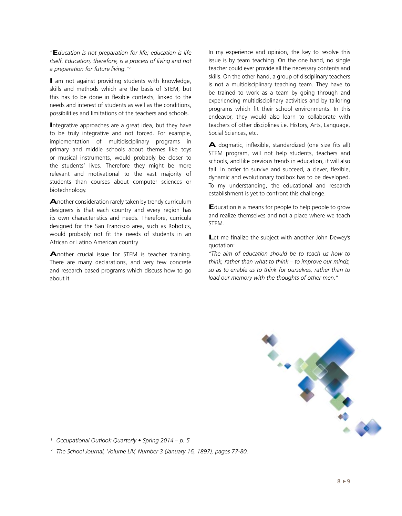*"***E***ducation is not preparation for life; education is life itself. Education, therefore, is a process of living and not a preparation for future living."2*

**I** am not against providing students with knowledge, skills and methods which are the basis of STEM, but this has to be done in flexible contexts, linked to the needs and interest of students as well as the conditions, possibilities and limitations of the teachers and schools.

**I**ntegrative approaches are a great idea, but they have to be truly integrative and not forced. For example, implementation of multidisciplinary programs in primary and middle schools about themes like toys or musical instruments, would probably be closer to the students' lives. Therefore they might be more relevant and motivational to the vast majority of students than courses about computer sciences or biotechnology.

**A**nother consideration rarely taken by trendy curriculum designers is that each country and every region has its own characteristics and needs. Therefore, curricula designed for the San Francisco area, such as Robotics, would probably not fit the needs of students in an African or Latino American country

**A**nother crucial issue for STEM is teacher training. There are many declarations, and very few concrete and research based programs which discuss how to go about it

In my experience and opinion, the key to resolve this issue is by team teaching. On the one hand, no single teacher could ever provide all the necessary contents and skills. On the other hand, a group of disciplinary teachers is not a multidisciplinary teaching team. They have to be trained to work as a team by going through and experiencing multidisciplinary activities and by tailoring programs which fit their school environments. In this endeavor, they would also learn to collaborate with teachers of other disciplines i.e. History, Arts, Language, Social Sciences, etc.

**A** dogmatic, inflexible, standardized (one size fits all) STEM program, will not help students, teachers and schools, and like previous trends in education, it will also fail. In order to survive and succeed, a clever, flexible, dynamic and evolutionary toolbox has to be developed. To my understanding, the educational and research establishment is yet to confront this challenge.

**E**ducation is a means for people to help people to grow and realize themselves and not a place where we teach **STEM.** 

Let me finalize the subject with another John Dewey's quotation:

*"The aim of education should be to teach us how to think, rather than what to think – to improve our minds, so as to enable us to think for ourselves, rather than to load our memory with the thoughts of other men."*



*1 Occupational Outlook Quarterly • Spring 2014 – p. 5*

*2 The School Journal, Volume LIV, Number 3 (January 16, 1897), pages 77-80.*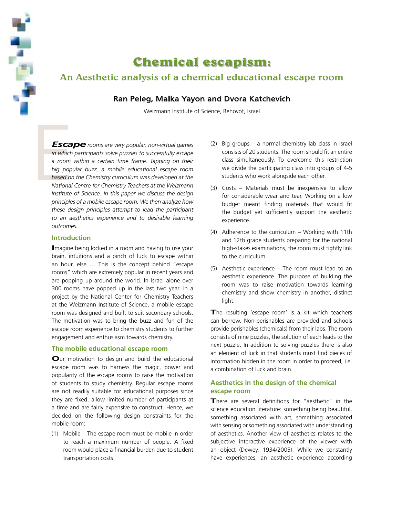

# **Chemical escapism:**

### An Aesthetic analysis of a chemical educational escape room

### Ran Peleg, Malka Yayon and Dvora Katchevich

Weizmann Institute of Science, Rehovot, Israel

Esca<br>
in which<br>
a room<br>
big popu<br>
based on<br>
National<br>
Institute *Escaperooms are very popular, non-virtual games in which participants solve puzzles to successfully escape a room within a certain time frame. Tapping on their big popular buzz, a mobile educational escape room based on the Chemistry curriculum was developed at the National Centre for Chemistry Teachers at the Weizmann Institute of Science. In this paper we discuss the design principles of a mobile escape room. We then analyze how these design principles attempt to lead the participant to an aesthetics experience and to desirable learning outcomes.* 

### **Introduction**

**I**magine being locked in a room and having to use your brain, intuitions and a pinch of luck to escape within an hour, else … This is the concept behind "escape rooms" which are extremely popular in recent years and are popping up around the world. In Israel alone over 300 rooms have popped up in the last two year. In a project by the National Center for Chemistry Teachers at the Weizmann Institute of Science, a mobile escape room was designed and built to suit secondary schools. The motivation was to bring the buzz and fun of the escape room experience to chemistry students to further engagement and enthusiasm towards chemistry.

### **The mobile educational escape room**

**O**ur motivation to design and build the educational escape room was to harness the magic, power and popularity of the escape rooms to raise the motivation of students to study chemistry. Regular escape rooms are not readily suitable for educational purposes since they are fixed, allow limited number of participants at a time and are fairly expensive to construct. Hence, we decided on the following design constraints for the mobile room:

(1) Mobile – The escape room must be mobile in order to reach a maximum number of people. A fixed room would place a financial burden due to student transportation costs.

- (2) Big groups a normal chemistry lab class in Israel consists of 20 students. The room should fit an entire class simultaneously. To overcome this restriction we divide the participating class into groups of 4-5 students who work alongside each other.
- (3) Costs Materials must be inexpensive to allow for considerable wear and tear. Working on a low budget meant finding materials that would fit the budget yet sufficiently support the aesthetic experience.
- (4) Adherence to the curriculum Working with 11th and 12th grade students preparing for the national high-stakes examinations, the room must tightly link to the curriculum.
- (5) Aesthetic experience The room must lead to an aesthetic experience. The purpose of building the room was to raise motivation towards learning chemistry and show chemistry in another, distinct light.

The resulting 'escape room' is a kit which teachers can borrow. Non-perishables are provided and schools provide perishables (chemicals) from their labs. The room consists of nine puzzles, the solution of each leads to the next puzzle. In addition to solving puzzles there is also an element of luck in that students must find pieces of information hidden in the room in order to proceed, i.e. a combination of luck and brain.

### **Aesthetics in the design of the chemical escape room**

**T**here are several definitions for "aesthetic" in the science education literature: something being beautiful, something associated with art, something associated with sensing or something associated with understanding of aesthetics. Another view of aesthetics relates to the subjective interactive experience of the viewer with an object (Dewey, 1934/2005). While we constantly have experiences, an aesthetic experience according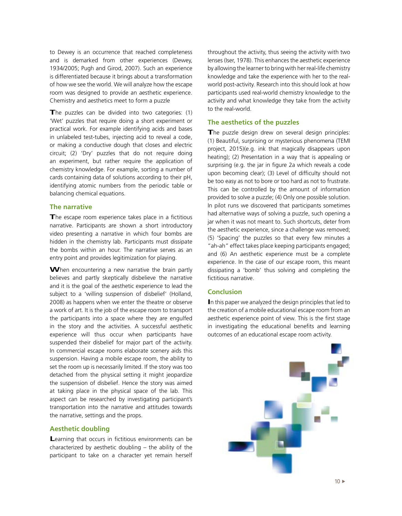to Dewey is an occurrence that reached completeness and is demarked from other experiences (Dewey, 1934/2005; Pugh and Girod, 2007). Such an experience is differentiated because it brings about a transformation of how we see the world. We will analyze how the escape room was designed to provide an aesthetic experience. Chemistry and aesthetics meet to form a puzzle

**T**he puzzles can be divided into two categories: (1) 'Wet' puzzles that require doing a short experiment or practical work. For example identifying acids and bases in unlabeled test-tubes, injecting acid to reveal a code, or making a conductive dough that closes and electric circuit; (2) 'Dry' puzzles that do not require doing an experiment, but rather require the application of chemistry knowledge. For example, sorting a number of cards containing data of solutions according to their pH, identifying atomic numbers from the periodic table or balancing chemical equations.

### **The narrative**

**T**he escape room experience takes place in a fictitious narrative. Participants are shown a short introductory video presenting a narrative in which four bombs are hidden in the chemistry lab. Participants must dissipate the bombs within an hour. The narrative serves as an entry point and provides legitimization for playing.

When encountering a new narrative the brain partly believes and partly skeptically disbelieve the narrative and it is the goal of the aesthetic experience to lead the subject to a 'willing suspension of disbelief' (Holland, 2008) as happens when we enter the theatre or observe a work of art. It is the job of the escape room to transport the participants into a space where they are engulfed in the story and the activities. A successful aesthetic experience will thus occur when participants have suspended their disbelief for major part of the activity. In commercial escape rooms elaborate scenery aids this suspension. Having a mobile escape room, the ability to set the room up is necessarily limited. If the story was too detached from the physical setting it might jeopardize the suspension of disbelief. Hence the story was aimed at taking place in the physical space of the lab. This aspect can be researched by investigating participant's transportation into the narrative and attitudes towards the narrative, settings and the props.

### **Aesthetic doubling**

**L**earning that occurs in fictitious environments can be characterized by aesthetic doubling – the ability of the participant to take on a character yet remain herself

throughout the activity, thus seeing the activity with two lenses (Iser, 1978). This enhances the aesthetic experience by allowing the learner to bring with her real-life chemistry knowledge and take the experience with her to the realworld post-activity. Research into this should look at how participants used real-world chemistry knowledge to the activity and what knowledge they take from the activity to the real-world.

### **The aesthetics of the puzzles**

The puzzle design drew on several design principles: (1) Beautiful, surprising or mysterious phenomena (TEMI project, 2015)(e.g. ink that magically disappears upon heating); (2) Presentation in a way that is appealing or surprising (e.g. the jar in figure 2a which reveals a code upon becoming clear); (3) Level of difficulty should not be too easy as not to bore or too hard as not to frustrate. This can be controlled by the amount of information provided to solve a puzzle; (4) Only one possible solution. In pilot runs we discovered that participants sometimes had alternative ways of solving a puzzle, such opening a jar when it was not meant to. Such shortcuts, deter from the aesthetic experience, since a challenge was removed; (5) 'Spacing' the puzzles so that every few minutes a "ah-ah" effect takes place keeping participants engaged; and (6) An aesthetic experience must be a complete experience. In the case of our escape room, this meant dissipating a 'bomb' thus solving and completing the fictitious narrative.

### **Conclusion**

**I**n this paper we analyzed the design principles that led to the creation of a mobile educational escape room from an aesthetic experience point of view. This is the first stage in investigating the educational benefits and learning outcomes of an educational escape room activity.

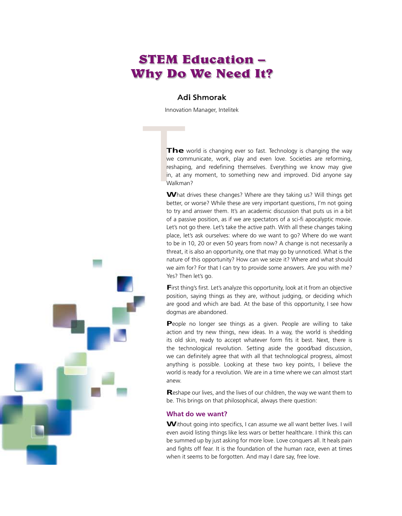# **STEM Education – Why Do We Need It?**

### Adi Shmorak

Innovation Manager, Intelitek

The<br>
we con<br>
reshapin<br>
in, at a<br>
Walkma<br>
What **The** world is changing ever so fast. Technology is changing the way we communicate, work, play and even love. Societies are reforming, reshaping, and redefining themselves. Everything we know may give in, at any moment, to something new and improved. Did anyone say Walkman?

What drives these changes? Where are they taking us? Will things get better, or worse? While these are very important questions, I'm not going to try and answer them. It's an academic discussion that puts us in a bit of a passive position, as if we are spectators of a sci-fi apocalyptic movie. Let's not go there. Let's take the active path. With all these changes taking place, let's ask ourselves: where do we want to go? Where do we want to be in 10, 20 or even 50 years from now? A change is not necessarily a threat, it is also an opportunity, one that may go by unnoticed. What is the nature of this opportunity? How can we seize it? Where and what should we aim for? For that I can try to provide some answers. Are you with me? Yes? Then let's go.

**First thing's first. Let's analyze this opportunity, look at it from an objective** position, saying things as they are, without judging, or deciding which are good and which are bad. At the base of this opportunity, I see how dogmas are abandoned.

People no longer see things as a given. People are willing to take action and try new things, new ideas. In a way, the world is shedding its old skin, ready to accept whatever form fits it best. Next, there is the technological revolution. Setting aside the good/bad discussion, we can definitely agree that with all that technological progress, almost anything is possible. Looking at these two key points, I believe the world is ready for a revolution. We are in a time where we can almost start anew.

**R**eshape our lives, and the lives of our children, the way we want them to be. This brings on that philosophical, always there question:

### **What do we want?**

**W**ithout going into specifics, I can assume we all want better lives. I will even avoid listing things like less wars or better healthcare. I think this can be summed up by just asking for more love. Love conquers all. It heals pain and fights off fear. It is the foundation of the human race, even at times when it seems to be forgotten. And may I dare say, free love.

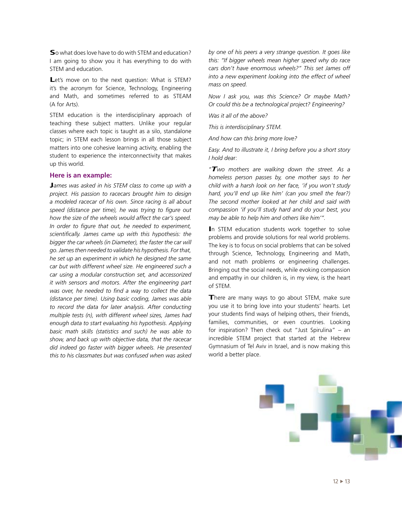**S**o what does love have to do with STEM and education? I am going to show you it has everything to do with STEM and education.

Let's move on to the next question: What is STEM? it's the acronym for Science, Technology, Engineering and Math, and sometimes referred to as STEAM (A for Arts).

STEM education is the interdisciplinary approach of teaching these subject matters. Unlike your regular classes where each topic is taught as a silo, standalone topic; in STEM each lesson brings in all those subject matters into one cohesive learning activity, enabling the student to experience the interconnectivity that makes up this world.

### **Here is an example:**

**J***ames was asked in his STEM class to come up with <sup>a</sup> project. His passion to racecars brought him to design a modeled racecar of his own. Since racing is all about speed (distance per time), he was trying to figure out how the size of the wheels would affect the car's speed. In order to figure that out, he needed to experiment, scientifically. James came up with this hypothesis: the bigger the car wheels (in Diameter), the faster the car will go.Jamesthen needed to validate his hypothesis. Forthat, he set up an experiment in which he designed the same car but with different wheel size. He engineered such a car using a modular construction set, and accessorized it with sensors and motors. After the engineering part was over, he needed to find a way to collect the data (distance per time). Using basic coding, James was able to record the data for later analysis. After conducting multiple tests (n), with different wheel sizes, James had enough data to start evaluating his hypothesis. Applying basic math skills (statistics and such) he was able to show, and back up with objective data, that the racecar did indeed go faster with bigger wheels. He presented this to his classmates but was confused when was asked*  *by one of his peers a very strange question. It goes like this: "If bigger wheels mean higher speed why do race cars don't have enormous wheels?" This set James off into a new experiment looking into the effect of wheel mass on speed.*

*Now I ask you, was this Science? Or maybe Math? Or could this be a technological project? Engineering?*

*Was it all of the above?*

*This is interdisciplinary STEM.*

*And how can this bring more love?*

*Easy. And to illustrate it, I bring before you a short story I hold dea*r:

*"Two mothers are walking down the street. As a homeless person passes by, one mother says to her child with a harsh look on her face, 'if you won't study hard, you'll end up like him' (can you smell the fear?) The second mother looked at her child and said with compassion 'if you'll study hard and do your best, you may be able to help him and others like him'".*

**I**n STEM education students work together to solve problems and provide solutions for real world problems. The key is to focus on social problems that can be solved through Science, Technology, Engineering and Math, and not math problems or engineering challenges. Bringing out the social needs, while evoking compassion and empathy in our children is, in my view, is the heart of STEM.

**There are many ways to go about STEM, make sure** you use it to bring love into your students' hearts. Let your students find ways of helping others, their friends, families, communities, or even countries. Looking for inspiration? Then check out "Just Spirulina" – an incredible STEM project that started at the Hebrew Gymnasium of Tel Aviv in Israel, and is now making this world a better place.

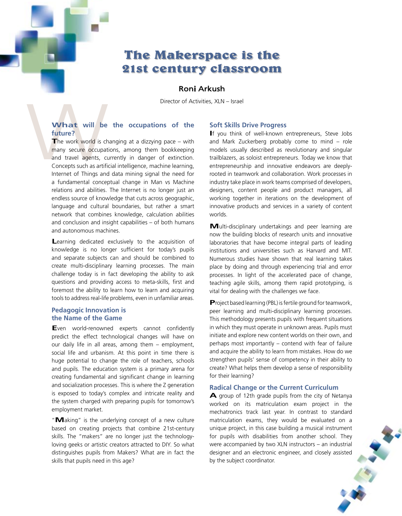## **The Makerspace is the 21st century classroom**

### Roni Arkush

Director of Activities, XLN – Israel

### **What will be the occupations of the future?**

What will be<br>future?<br>The work world is ch<br>many secure occupat<br>and travel agents, cu<br>Concepts such as artific<br>Internet of Things and **T**he work world is changing at a dizzying pace – with many secure occupations, among them bookkeeping and travel agents, currently in danger of extinction. Concepts such as artificial intelligence, machine learning, Internet of Things and data mining signal the need for a fundamental conceptual change in Man vs Machine relations and abilities. The Internet is no longer just an endless source of knowledge that cuts across geographic, language and cultural boundaries, but rather a smart network that combines knowledge, calculation abilities and conclusion and insight capabilities – of both humans and autonomous machines.

> Learning dedicated exclusively to the acquisition of knowledge is no longer sufficient for today's pupils and separate subjects can and should be combined to create multi-disciplinary learning processes. The main challenge today is in fact developing the ability to ask questions and providing access to meta-skills, first and foremost the ability to learn how to learn and acquiring tools to address real-life problems, even in unfamiliar areas.

### **Pedagogic Innovation is the Name of the Game**

**E**ven world-renowned experts cannot confidently predict the effect technological changes will have on our daily life in all areas, among them – employment, social life and urbanism. At this point in time there is huge potential to change the role of teachers, schools and pupils. The education system is a primary arena for creating fundamental and significant change in learning and socialization processes. This is where the Z generation is exposed to today's complex and intricate reality and the system charged with preparing pupils for tomorrow's employment market.

"**M**aking" is the underlying concept of a new culture based on creating projects that combine 21st-century skills. The "makers" are no longer just the technologyloving geeks or artistic creators attracted to DIY. So what distinguishes pupils from Makers? What are in fact the skills that pupils need in this age?

### **Soft Skills Drive Progress**

**I**f you think of well-known entrepreneurs, Steve Jobs and Mark Zuckerberg probably come to mind – role models usually described as revolutionary and singular trailblazers, as soloist entrepreneurs. Today we know that entrepreneurship and innovative endeavors are deeplyrooted in teamwork and collaboration. Work processes in industry take place in work teams comprised of developers, designers, content people and product managers, all working together in iterations on the development of innovative products and services in a variety of content worlds.

**M**ulti-disciplinary undertakings and peer learning are now the building blocks of research units and innovative laboratories that have become integral parts of leading institutions and universities such as Harvard and MIT. Numerous studies have shown that real learning takes place by doing and through experiencing trial and error processes. In light of the accelerated pace of change, teaching agile skills, among them rapid prototyping, is vital for dealing with the challenges we face.

**P**roject based learning (PBL) is fertile ground for teamwork, peer learning and multi-disciplinary learning processes. This methodology presents pupils with frequent situations in which they must operate in unknown areas. Pupils must initiate and explore new content worlds on their own, and perhaps most importantly – contend with fear of failure and acquire the ability to learn from mistakes. How do we strengthen pupils' sense of competency in their ability to create? What helps them develop a sense of responsibility for their learning?

### **Radical Change or the Current Curriculum**

**A** group of 12th grade pupils from the city of Netanya worked on its matriculation exam project in the mechatronics track last year. In contrast to standard matriculation exams, they would be evaluated on a unique project, in this case building a musical instrument for pupils with disabilities from another school. They were accompanied by two XLN instructors – an industrial designer and an electronic engineer, and closely assisted by the subject coordinator.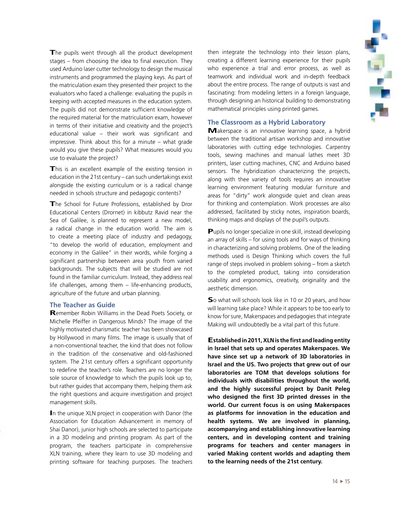

The pupils went through all the product development stages – from choosing the idea to final execution. They used Arduino laser cutter technology to design the musical instruments and programmed the playing keys. As part of the matriculation exam they presented their project to the evaluators who faced a challenge: evaluating the pupils in keeping with accepted measures in the education system. The pupils did not demonstrate sufficient knowledge of the required material for the matriculation exam, however in terms of their initiative and creativity and the project's educational value – their work was significant and impressive. Think about this for a minute – what grade would you give these pupils? What measures would you use to evaluate the project?

**T**his is an excellent example of the existing tension in education in the 21st century – can such undertakings exist alongside the existing curriculum or is a radical change needed in schools structure and pedagogic contents?

**T**he School for Future Professions, established by Dror Educational Centers (Drornet) in kibbutz Ravid near the Sea of Galilee, is planned to represent a new model, a radical change in the education world. The aim is to create a meeting place of industry and pedagogy, "to develop the world of education, employment and economy in the Galilee" in their words, while forging a significant partnership between area youth from varied backgrounds. The subjects that will be studied are not found in the familiar curriculum. Instead, they address real life challenges, among them – life-enhancing products, agriculture of the future and urban planning.

### **The Teacher as Guide**

**R**emember Robin Williams in the Dead Poets Society, or Michelle Pfeiffer in Dangerous Minds? The image of the highly motivated charismatic teacher has been showcased by Hollywood in many films. The image is usually that of a non-conventional teacher, the kind that does not follow in the tradition of the conservative and old-fashioned system. The 21st century offers a significant opportunity to redefine the teacher's role. Teachers are no longer the sole source of knowledge to which the pupils look up to, but rather guides that accompany them, helping them ask the right questions and acquire investigation and project management skills.

**I**n the unique XLN project in cooperation with Danor (the Association for Education Advancement in memory of Shai Danor), junior high schools are selected to participate in a 3D modeling and printing program. As part of the program, the teachers participate in comprehensive XLN training, where they learn to use 3D modeling and printing software for teaching purposes. The teachers

then integrate the technology into their lesson plans, creating a different learning experience for their pupils who experience a trial and error process, as well as teamwork and individual work and in-depth feedback about the entire process. The range of outputs is vast and fascinating: from modeling letters in a foreign language, through designing an historical building to demonstrating mathematical principles using printed games.

### **The Classroom as a Hybrid Laboratory**

**M**akerspace is an innovative learning space, a hybrid between the traditional artisan workshop and innovative laboratories with cutting edge technologies. Carpentry tools, sewing machines and manual lathes meet 3D printers, laser cutting machines, CNC and Arduino based sensors. The hybridization characterizing the projects, along with thee variety of tools requires an innovative learning environment featuring modular furniture and areas for "dirty" work alongside quiet and clean areas for thinking and contemplation. Work processes are also addressed, facilitated by sticky notes, inspiration boards, thinking maps and displays of the pupil's outputs.

**P**upils no longer specialize in one skill, instead developing an array of skills – for using tools and for ways of thinking in characterizing and solving problems. One of the leading methods used is Design Thinking which covers the full range of steps involved in problem solving – from a sketch to the completed product, taking into consideration usability and ergonomics, creativity, originality and the aesthetic dimension.

**S**o what will schools look like in 10 or 20 years, and how will learning take place? While it appears to be too early to know for sure, Makerspaces and pedagogies that integrate Making will undoubtedly be a vital part of this future.

**Established in 2011, XLN is the first and leading entity in Israel that sets up and operates Makerspaces. We have since set up a network of 3D laboratories in Israel and the US. Two projects that grew out of our laboratories are TOM that develops solutions for individuals with disabilities throughout the world, and the highly successful project by Danit Peleg who designed the first 3D printed dresses in the world. Our current focus is on using Makerspaces as platforms for innovation in the education and health systems. We are involved in planning, accompanying and establishing innovative learning centers, and in developing content and training programs for teachers and center managers in varied Making content worlds and adapting them to the learning needs of the 21st century.**